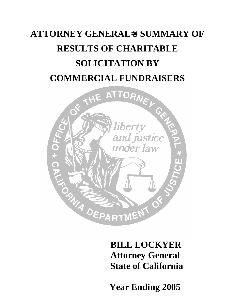# **ATTORNEY GENERAL**=**S SUMMARY OF RESULTS OF CHARITABLE SOLICITATION BY COMMERCIAL FUNDRAISERS**



**BILL LOCKYER Attorney General State of California** 

 **Year Ending 2005**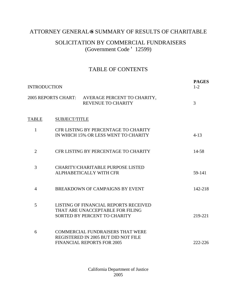### ATTORNEY GENERAL SSUMMARY OF RESULTS OF CHARITABLE

### SOLICITATION BY COMMERCIAL FUNDRAISERS (Government Code ' 12599)

### TABLE OF CONTENTS

| <b>INTRODUCTION</b> | <b>PAGES</b><br>$1 - 2$ |                                                                                                                     |          |
|---------------------|-------------------------|---------------------------------------------------------------------------------------------------------------------|----------|
|                     |                         | 2005 REPORTS CHART: AVERAGE PERCENT TO CHARITY,<br><b>REVENUE TO CHARITY</b>                                        | 3        |
| <b>TABLE</b>        | SUBJECT/TITLE           |                                                                                                                     |          |
| 1                   |                         | CFR LISTING BY PERCENTAGE TO CHARITY<br>IN WHICH 15% OR LESS WENT TO CHARITY                                        | $4 - 13$ |
| $\overline{2}$      |                         | CFR LISTING BY PERCENTAGE TO CHARITY                                                                                | 14-58    |
| 3                   |                         | <b>CHARITY/CHARITABLE PURPOSE LISTED</b><br>ALPHABETICALLY WITH CFR                                                 | 59-141   |
| $\overline{4}$      |                         | BREAKDOWN OF CAMPAIGNS BY EVENT                                                                                     | 142-218  |
| 5                   |                         | LISTING OF FINANCIAL REPORTS RECEIVED<br>THAT ARE UNACCEPTABLE FOR FILING<br>SORTED BY PERCENT TO CHARITY           | 219-221  |
| 6                   |                         | <b>COMMERCIAL FUNDRAISERS THAT WERE</b><br>REGISTERED IN 2005 BUT DID NOT FILE<br><b>FINANCIAL REPORTS FOR 2005</b> | 222-226  |

California Department of Justice 2005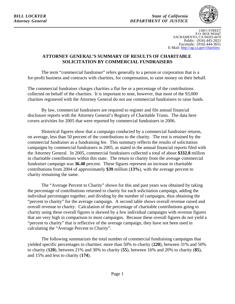*BILL LOCKYER State of California Attorney General DEPARTMENT OF JUSTICE* 



1300 I STREET P.O. BOX 903447 SACRAMENTO, CA 94203-4470 Public: (916) 445-2021 Facsimile: (916) 444-3651 E-Mail: http://ag.ca.gov/charities/

#### **ATTORNEY GENERAL'S SUMMARY OF RESULTS OF CHARITABLE SOLICITATION BY COMMERCIAL FUNDRAISERS**

The term "commercial fundraiser" refers generally to a person or corporation that is a for-profit business and contracts with charities, for compensation, to raise money on their behalf.

The commercial fundraiser charges charities a flat fee or a percentage of the contributions collected on behalf of the charities. It is important to note, however, that most of the 93,000 charities registered with the Attorney General do *not* use commercial fundraisers to raise funds.

By law, commercial fundraisers are required to register and file annual financial disclosure reports with the Attorney General's Registry of Charitable Trusts. The data here covers activities for 2005 that were reported by commercial fundraisers in 2006.

Historical figures show that a campaign conducted by a commercial fundraiser returns, on average, less than 50 percent of the contributions to the charity. The rest is retained by the commercial fundraiser as a fundraising fee. This summary reflects the results of solicitation campaigns by commercial fundraisers in 2005, as stated in the annual financial reports filed with the Attorney General. In 2005, commercial fundraisers collected a total of about **\$332.8** million in charitable contributions within this state. The return to charity from the average commercial fundraiser campaign was **36.48** percent. These figures represent an increase in charitable contributions from 2004 of approximately **\$39** million (**13%**), with the average percent to charity remaining the same.

The "Average Percent to Charity" shown for this and past years was obtained by taking the percentage of contributions returned to charity for each solicitation campaign, adding the individual percentages together, and dividing by the number of campaigns, thus obtaining the "percent to charity" for the average campaign. A second table shows overall revenue raised and overall revenue to charity. Calculation of the percentage of charitable contributions going to charity using these overall figures is skewed by a few individual campaigns with revenue figures that are very high in comparison to most campaigns. Because these overall figures do not yield a "percent to charity" that is reflective of the average campaign, they have not been used in calculating the "Average Percent to Charity".

The following summarizes the total number of commercial fundraising campaigns that yielded specific percentages to charities: more than 50% to charity (**220**), between 31% and 50% to charity (**120**), between 21% and 30% to charity (**55**), between 16% and 20% to charity (**85**), and 15% and less to charity (**174**).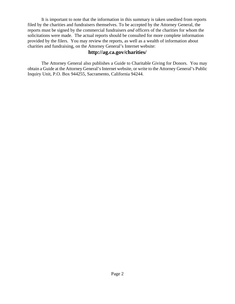It is important to note that the information in this summary is taken unedited from reports filed by the charities and fundraisers themselves. To be accepted by the Attorney General, the reports must be signed by the commercial fundraisers *and* officers of the charities for whom the solicitations were made. The actual reports should be consulted for more complete information provided by the filers. You may review the reports, as well as a wealth of information about charities and fundraising, on the Attorney General's Internet website:

#### **http://ag.ca.gov/charities/**

The Attorney General also publishes a Guide to Charitable Giving for Donors. You may obtain a Guide at the Attorney General's Internet website, or write to the Attorney General's Public Inquiry Unit, P.O. Box 944255, Sacramento, California 94244.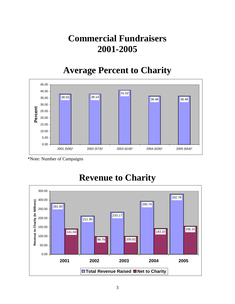# **Commercial Fundraisers 2001-2005**

## **Average Percent to Charity**



\*Note: Number of Campaigns



### **Revenue to Charity**